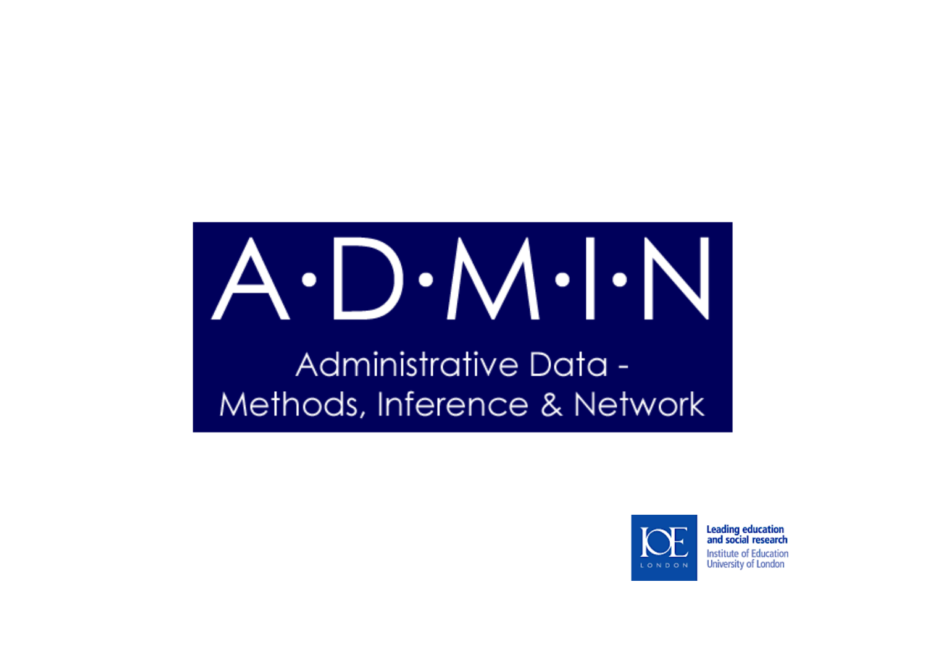# $A \cdot D \cdot M \cdot \vert \cdot N \vert$

Administrative Data -Methods, Inference & Network



**Leading education** and social research Institute of Education University of London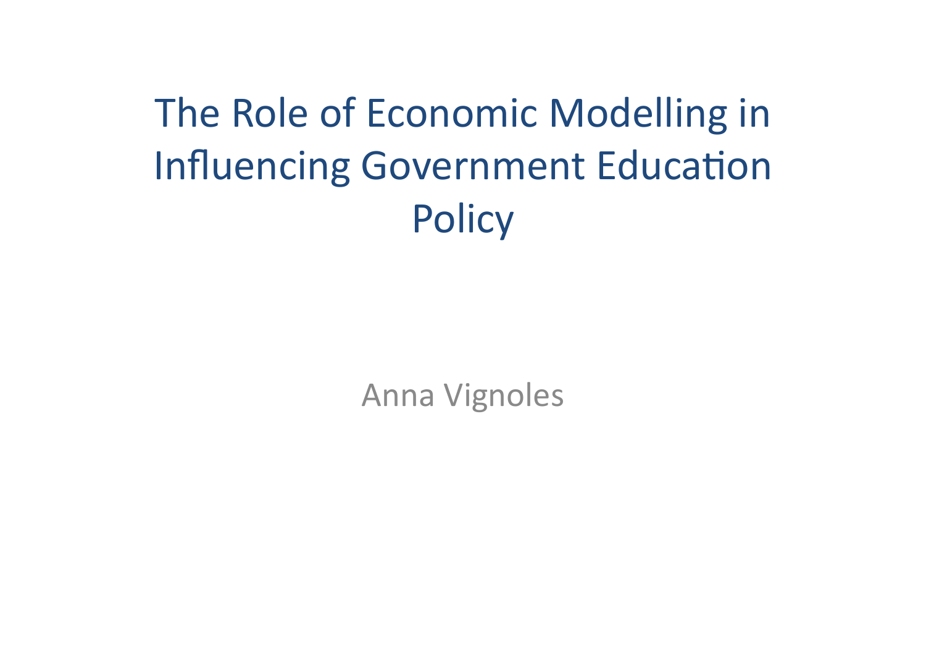The Role of Economic Modelling in **Influencing Government Education Policy** 

**Anna Vignoles**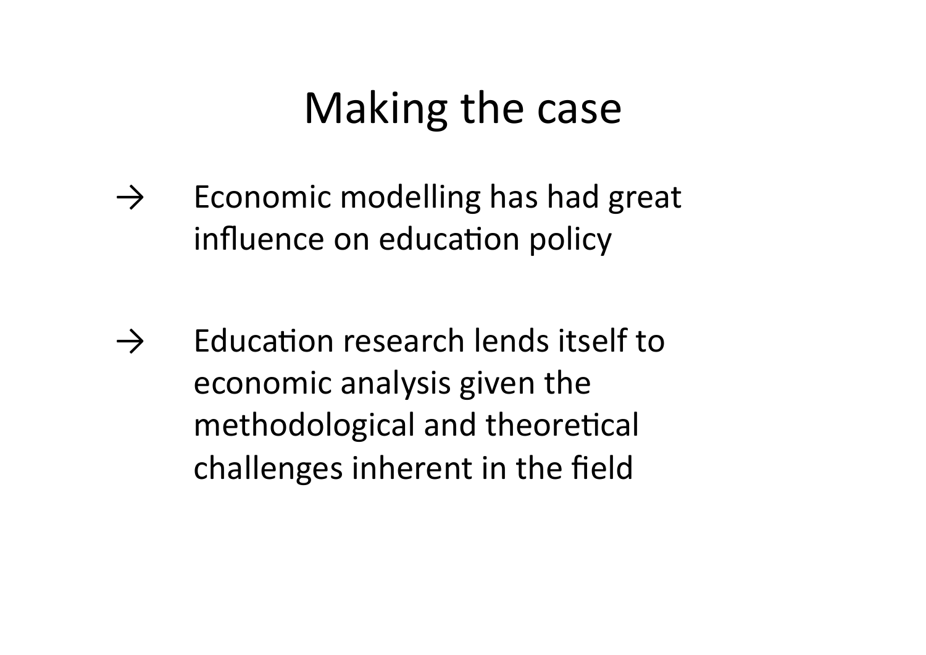#### Making the case

 $\rightarrow$  Economic modelling has had great influence on education policy

 $\rightarrow$  Education research lends itself to economic analysis given the methodological and theoretical challenges inherent in the field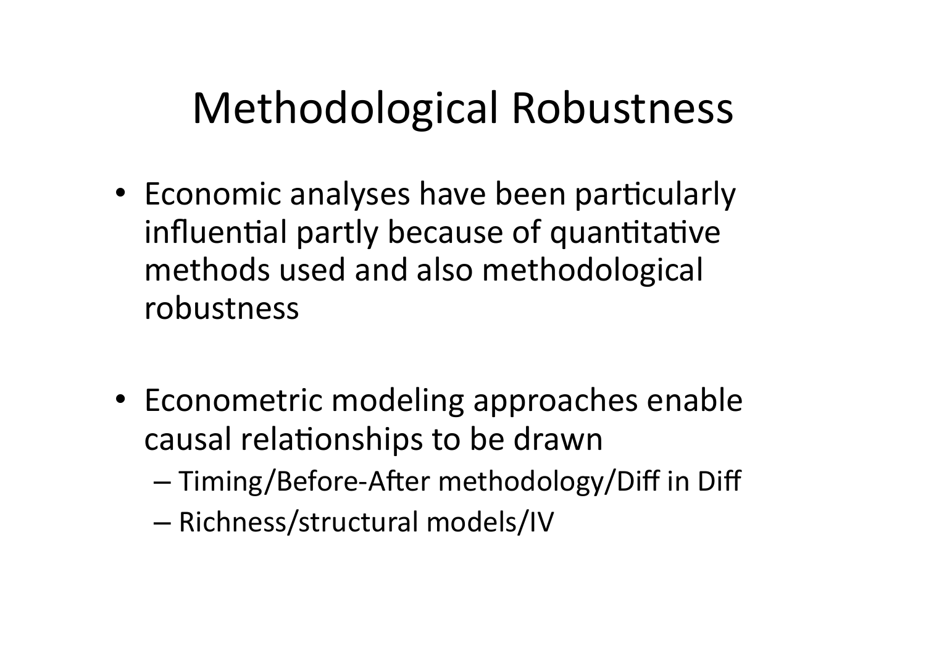#### **Methodological Robustness**

- Economic analyses have been particularly influential partly because of quantitative methods used and also methodological robustness
- Econometric modeling approaches enable causal relationships to be drawn
	- Timing/Before-After methodology/Diff in Diff
	- Richness/structural models/IV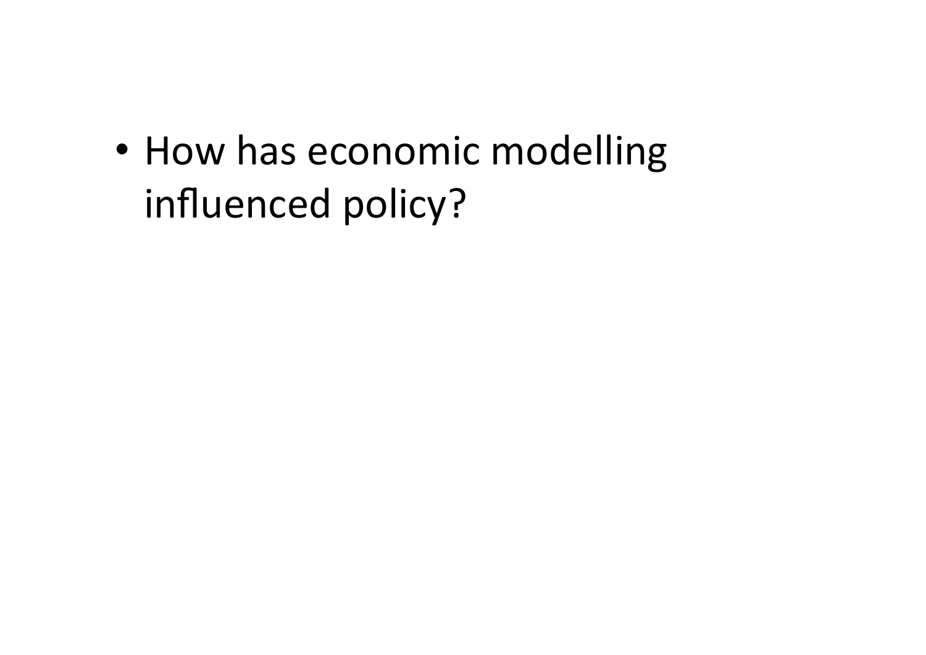• How has economic modelling influenced policy?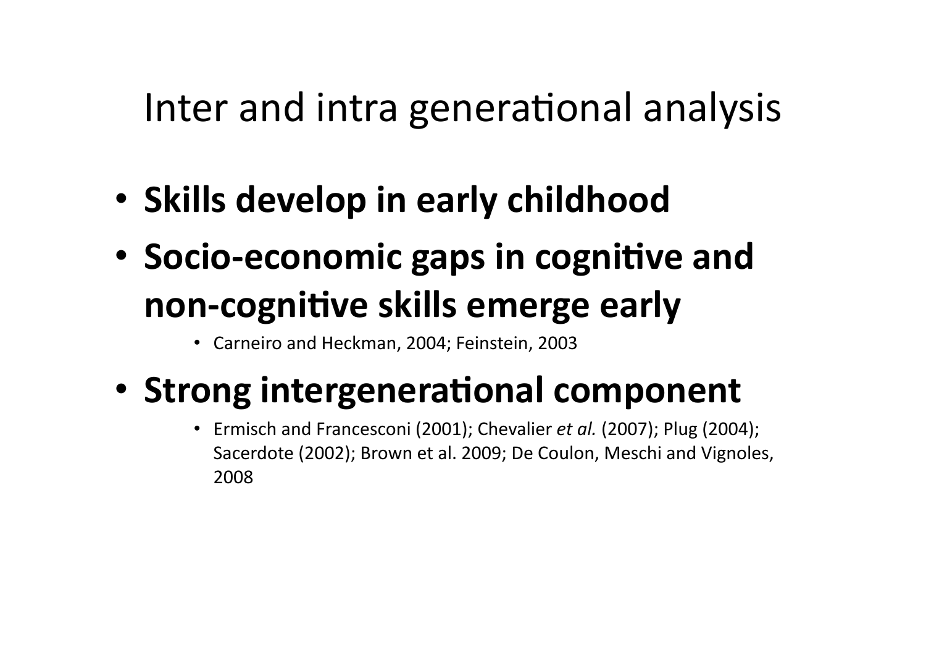#### Inter and intra generational analysis

- Skills develop in early childhood
- Socio-economic gaps in cognitive and non-cognitive skills emerge early
	- Carneiro and Heckman, 2004; Feinstein, 2003
- Strong intergenerational component
	- Ermisch and Francesconi (2001); Chevalier *et al.* (2007); Plug (2004); Sacerdote (2002); Brown et al. 2009; De Coulon, Meschi and Vignoles, 2008\$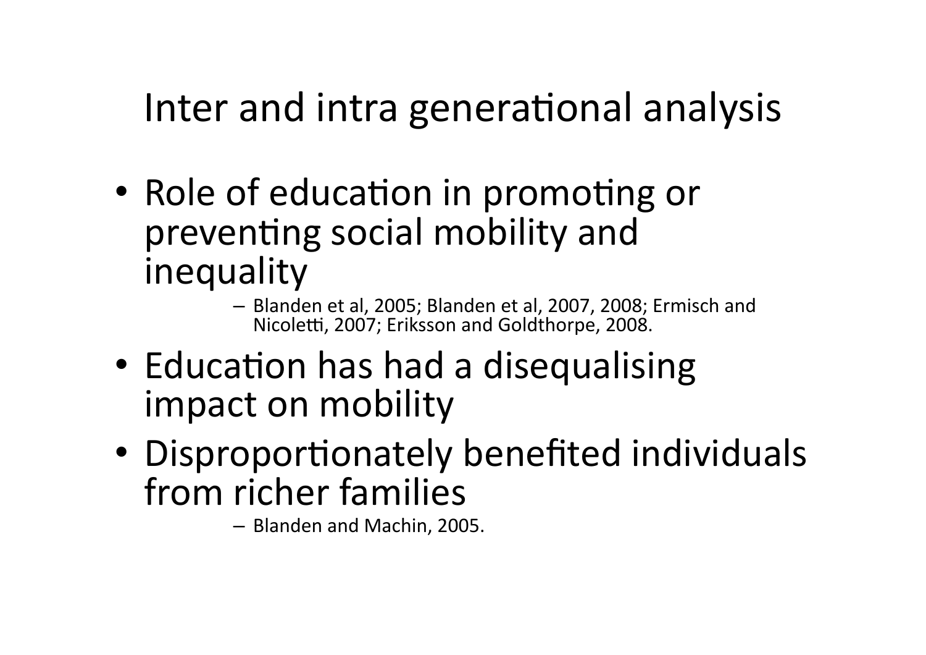#### Inter and intra generational analysis

- Role of education in promoting or preventing social mobility and inequality
	- Blanden et al, 2005; Blanden et al, 2007, 2008; Ermisch and Nicoletti, 2007; Eriksson and Goldthorpe, 2008.
- Education has had a disequalising impact on mobility
- Disproportionately benefited individuals from richer families

- Blanden and Machin, 2005.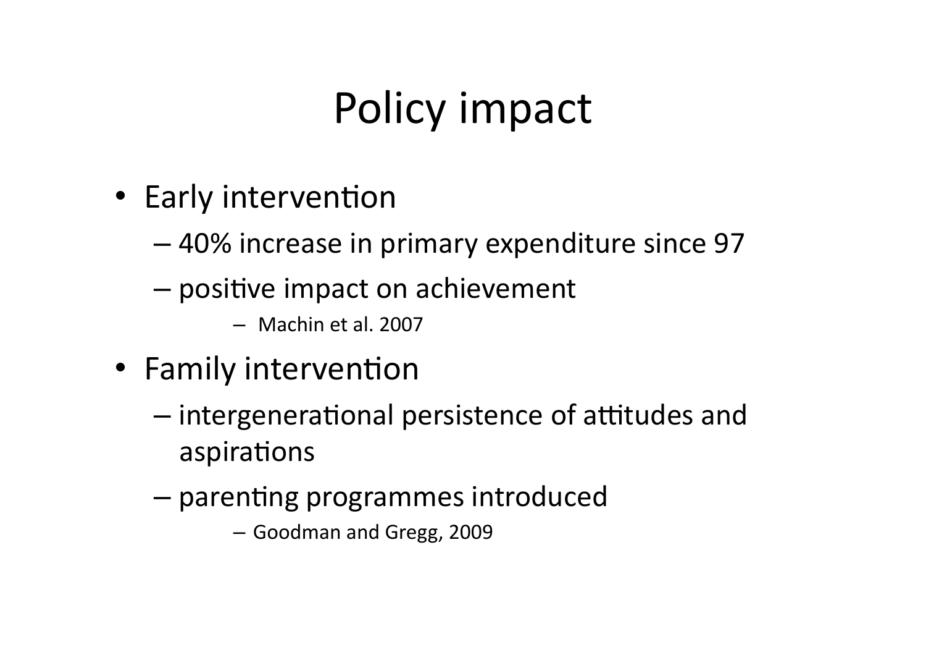# Policy impact

- Early intervention
	- -40% increase in primary expenditure since 97
	- positive impact on achievement
		- Machin et al. 2007
- Family intervention
	- intergenerational persistence of attitudes and aspirations
	- parenting programmes introduced
		- Goodman and Gregg, 2009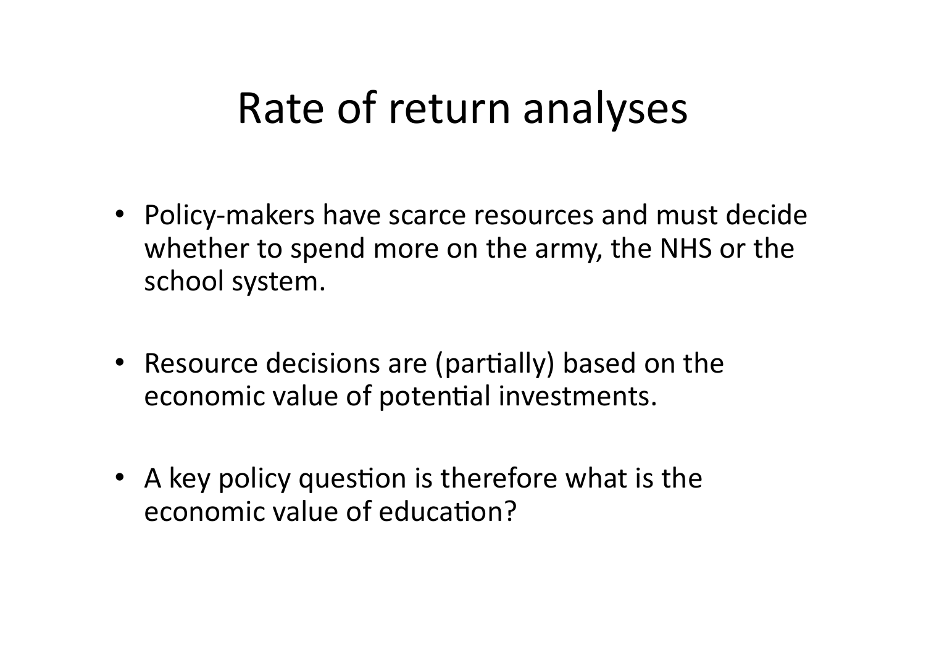#### Rate of return analyses

- Policy-makers have scarce resources and must decide whether to spend more on the army, the NHS or the school system.
- Resource decisions are (partially) based on the economic value of potential investments.
- A key policy question is therefore what is the economic value of education?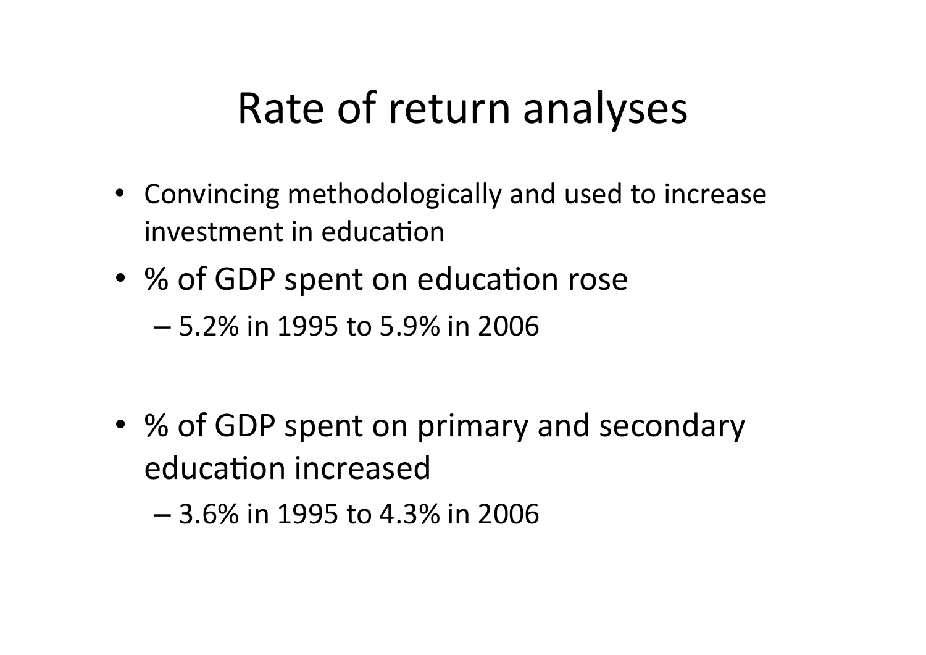#### Rate of return analyses

- Convincing methodologically and used to increase investment in education
- % of GDP spent on education rose
	- $-5.2\%$  in 1995 to 5.9% in 2006
- % of GDP spent on primary and secondary education increased

 $-$  3.6% in 1995 to 4.3% in 2006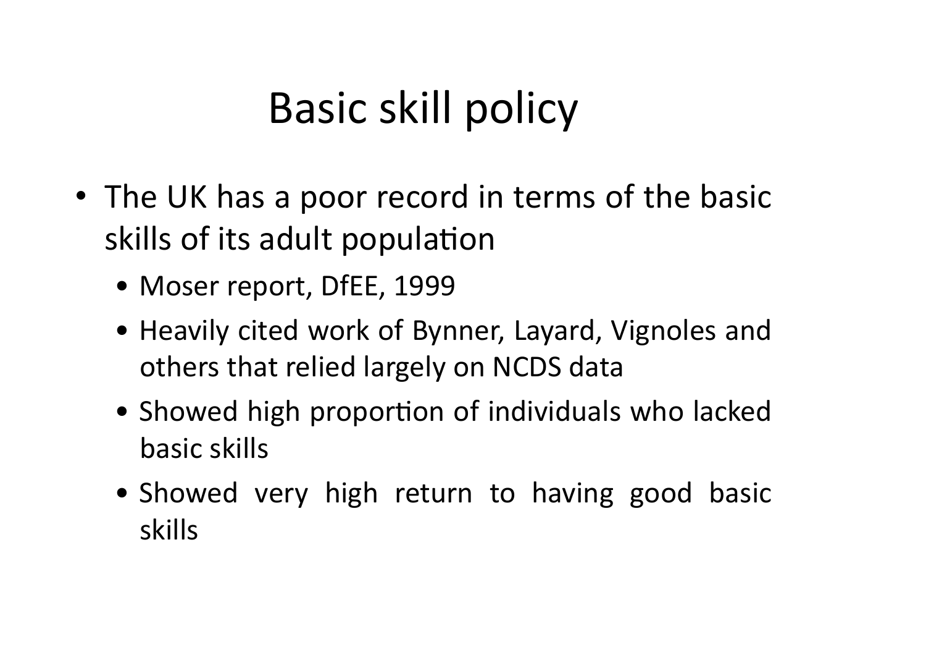## Basic skill policy

- The UK has a poor record in terms of the basic skills of its adult population
	- Moser report, DfEE, 1999
	- Heavily cited work of Bynner, Layard, Vignoles and others that relied largely on NCDS data
	- Showed high proportion of individuals who lacked basic skills
	- Showed very high return to having good basic skills\$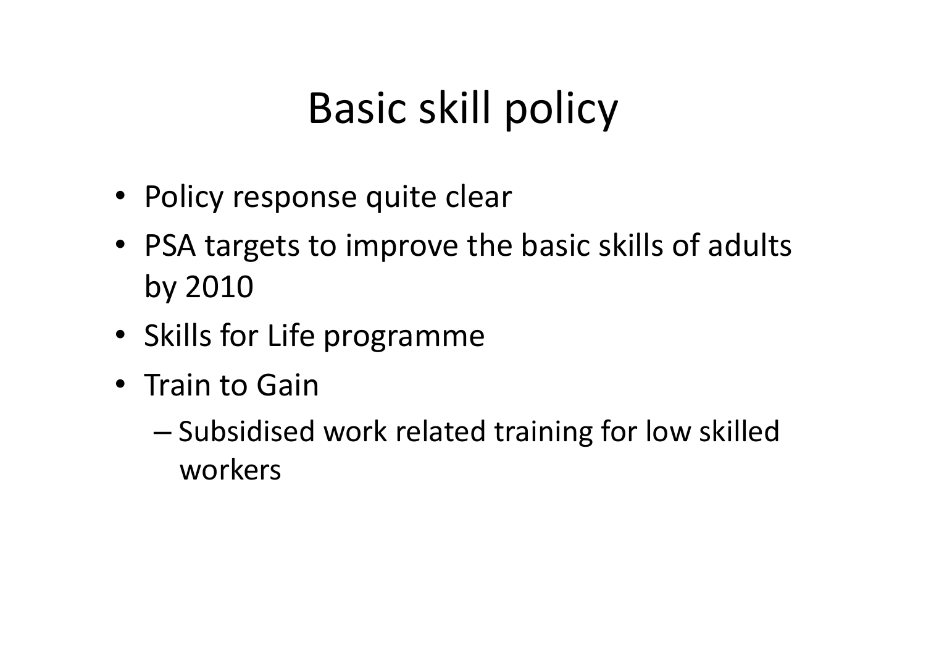## Basic skill policy

- Policy response quite clear
- PSA targets to improve the basic skills of adults by 2010
- Skills for Life programme
- Train to Gain
	- Subsidised work related training for low skilled workers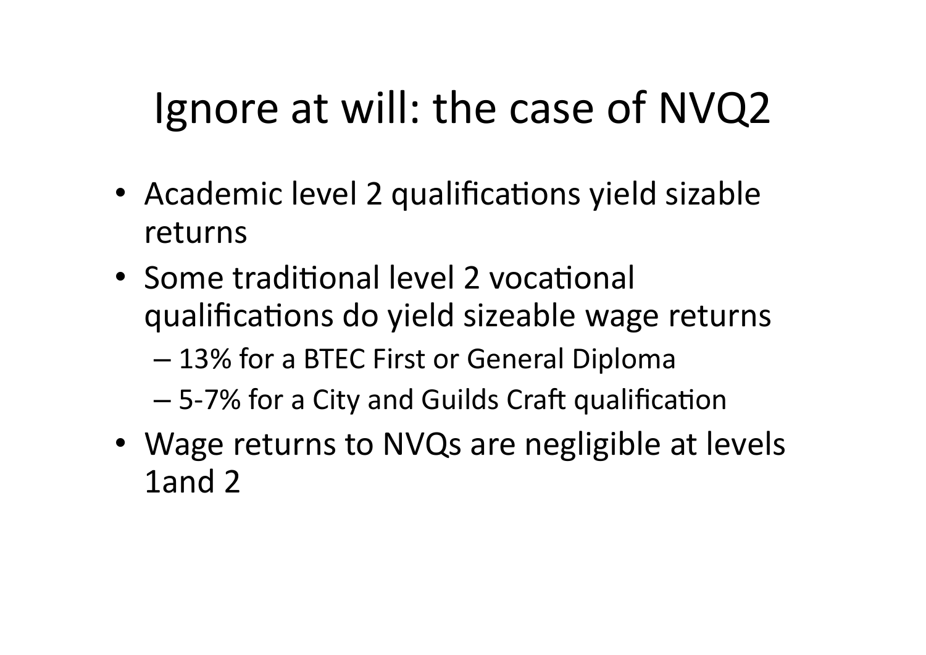## Ignore at will: the case of NVQ2

- Academic level 2 qualifications yield sizable returns
- Some traditional level 2 vocational qualifications do yield sizeable wage returns
	- 13% for a BTEC First or General Diploma
	- 5-7% for a City and Guilds Craft qualification
- Wage returns to NVQs are negligible at levels 1and 2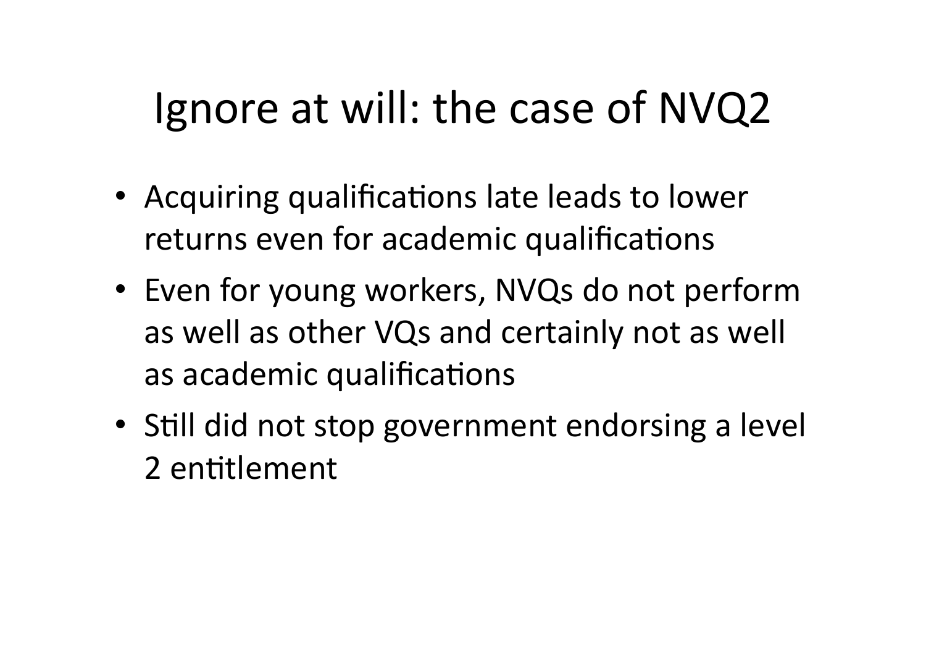## Ignore at will: the case of NVQ2

- Acquiring qualifications late leads to lower returns even for academic qualifications
- Even for young workers, NVQs do not perform as well as other VQs and certainly not as well as academic qualifications
- Still did not stop government endorsing a level 2 entitlement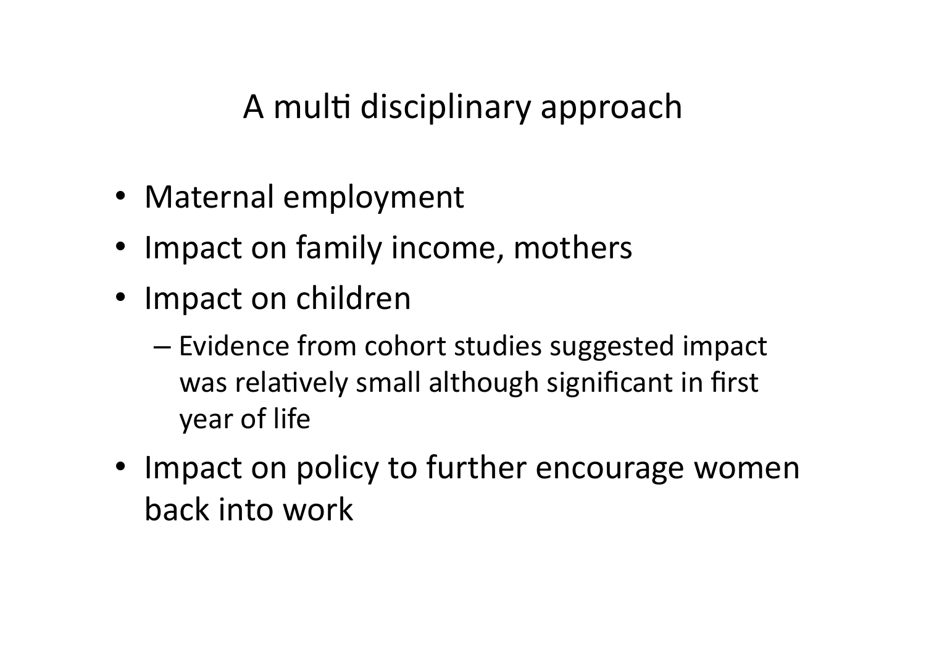A multi disciplinary approach

- Maternal employment
- Impact on family income, mothers
- Impact on children
	- $-$  Evidence from cohort studies suggested impact was relatively small although significant in first year of life
- Impact on policy to further encourage women back into work